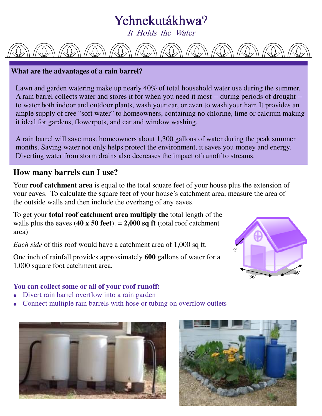# Yehnekutákhwa?

It Holds the Water

### **What are the advantages of a rain barrel?**

Lawn and garden watering make up nearly 40% of total household water use during the summer. A rain barrel collects water and stores it for when you need it most -- during periods of drought - to water both indoor and outdoor plants, wash your car, or even to wash your hair. It provides an ample supply of free "soft water" to homeowners, containing no chlorine, lime or calcium making it ideal for gardens, flowerpots, and car and window washing.

A rain barrel will save most homeowners about 1,300 gallons of water during the peak summer months. Saving water not only helps protect the environment, it saves you money and energy. Diverting water from storm drains also decreases the impact of runoff to streams.

### **How many barrels can I use?**

Your **roof catchment area** is equal to the total square feet of your house plus the extension of your eaves. To calculate the square feet of your house's catchment area, measure the area of the outside walls and then include the overhang of any eaves.

To get your **total roof catchment area multiply the** total length of the walls plus the eaves  $(40 \times 50 \text{ feet}) = 2,000 \text{ sq ft}$  (total roof catchment area)

*Each side* of this roof would have a catchment area of 1,000 sq ft.

One inch of rainfall provides approximately **600** gallons of water for a 1,000 square foot catchment area.

### **You can collect some or all of your roof runoff:**

- Divert rain barrel overflow into a rain garden
- Connect multiple rain barrels with hose or tubing on overflow outlets





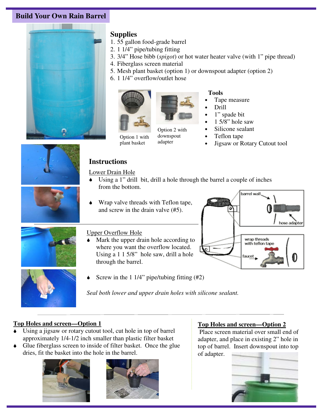### **Build Your Own Rain Barrel**



### **Supplies**

- 1. 55 gallon food-grade barrel
- 2. 1 1/4" pipe/tubing fitting
- 3. 3/4" Hose bibb (*spigot*) or hot water heater valve (with 1" pipe thread)
- 4. Fiberglass screen material
- 5. Mesh plant basket (option 1) or downspout adapter (option 2)
- 6. 1 1/4" overflow/outlet hose





Option 1 with plant basket Option 2 with downspout adapter

### **Tools**

- Tape measure
	- Drill
- 1" spade bit
- $1.5/8$ " hole saw
- Silicone sealant
- Teflon tape
- Jigsaw or Rotary Cutout tool



### **Instructions**  Lower Drain Hole

- Using a 1" drill bit, drill a hole through the barrel a couple of inches from the bottom.
- Wrap valve threads with Teflon tape, and screw in the drain valve (#5).



### Upper Overflow Hole

- Mark the upper drain hole according to where you want the overflow located. Using a 1 1 5/8" hole saw, drill a hole through the barrel.
	- Screw in the 1 1/4" pipe/tubing fitting (#2)

# Jarrel wall hose adapter wrap threads with teflon tape



*Seal both lower and upper drain holes with silicone sealant.* 

### **Top Holes and screen—Option 1**

- Using a jigsaw or rotary cutout tool, cut hole in top of barrel approximately 1/4-1/2 inch smaller than plastic filter basket
- Glue fiberglass screen to inside of filter basket. Once the glue dries, fit the basket into the hole in the barrel.





### **Top Holes and screen—Option 2**

 Place screen material over small end of adapter, and place in existing 2" hole in top of barrel. Insert downspout into top of adapter.

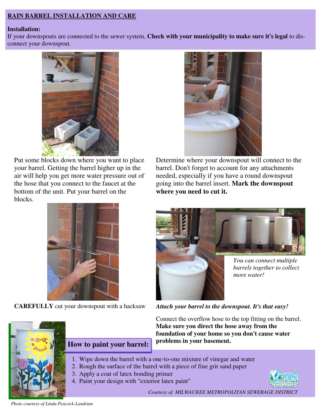### **RAIN BARREL INSTALLATION AND CARE**

### **Installation:**

If your downspouts are connected to the sewer system, **Check with your municipality to make sure it's legal** to disconnect your downspout.



Put some blocks down where you want to place your barrel. Getting the barrel higher up in the air will help you get more water pressure out of the hose that you connect to the faucet at the bottom of the unit. Put your barrel on the blocks.



Determine where your downspout will connect to the barrel. Don't forget to account for any attachments needed, especially if you have a round downspout going into the barrel insert. **Mark the downspout where you need to cut it.**



**CAREFULLY** cut your downspout with a hacksaw *Attach your barrel to the downspout. It's that easy!* 



*You can connect multiple barrels together to collect more water!* 

Connect the overflow hose to the top fitting on the barrel. **Make sure you direct the hose away from the foundation of your home so you don't cause water problems in your basement.**

- 1. Wipe down the barrel with a one-to-one mixture of vinegar and water
- 2. Rough the surface of the barrel with a piece of fine grit sand paper
- 3. Apply a coat of latex bonding primer

 **How to paint your barrel:** 

4. Paint your design with "exterior latex paint"



*Courtesy of MILWAUKEE METROPOLITAN SEWERAGE DISTRICT* 

*Photo courtesy of Linda Peacock-Landrum*